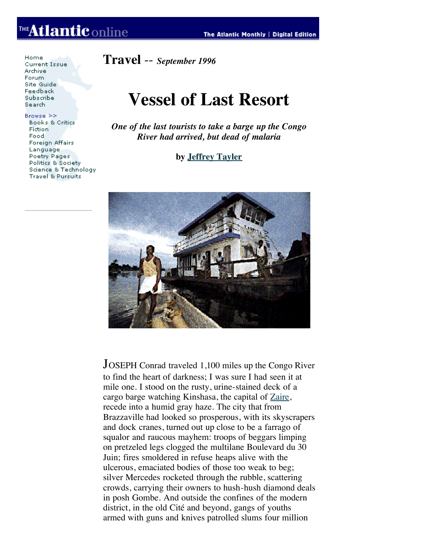## THE**Atlantic** online

Home Current Issue Archive Forum Site Guide Feedback Subscribe Search

Browse >> **Books & Critics Fiction** Food Foreign Affairs Language Poetry Pages Politics & Society Science & Technology **Travel & Pursuits** 

## **Travel** -- *September 1996*

## **Vessel of Last Resort**

*One of the last tourists to take a barge up the Congo River had arrived, but dead of malaria*

**by [Jeffrey Tayler](http://www.theatlantic.com/past/docs/issues/96sep/congo/congo.htm)**



JOSEPH Conrad traveled 1,100 miles up the Congo River to find the heart of darkness; I was sure I had seen it at mile one. I stood on the rusty, urine-stained deck of a cargo barge watching Kinshasa, the capital of [Zaire](http://www.odci.gov/cia/publications/95fact/cg.html), recede into a humid gray haze. The city that from Brazzaville had looked so prosperous, with its skyscrapers and dock cranes, turned out up close to be a farrago of squalor and raucous mayhem: troops of beggars limping on pretzeled legs clogged the multilane Boulevard du 30 Juin; fires smoldered in refuse heaps alive with the ulcerous, emaciated bodies of those too weak to beg; silver Mercedes rocketed through the rubble, scattering crowds, carrying their owners to hush-hush diamond deals in posh Gombe. And outside the confines of the modern district, in the old Cité and beyond, gangs of youths armed with guns and knives patrolled slums four million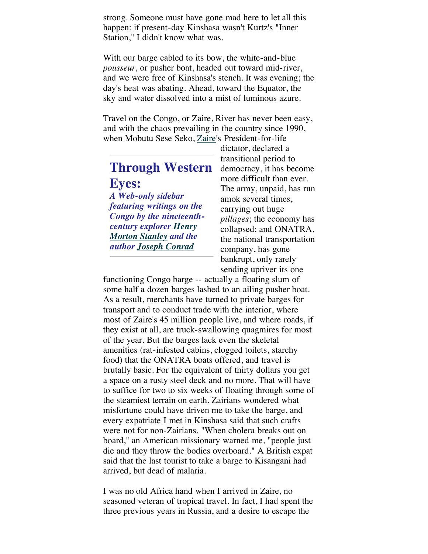strong. Someone must have gone mad here to let all this happen: if present-day Kinshasa wasn't Kurtz's "Inner Station," I didn't know what was.

With our barge cabled to its bow, the white-and-blue *pousseur,* or pusher boat, headed out toward mid-river, and we were free of Kinshasa's stench. It was evening; the day's heat was abating. Ahead, toward the Equator, the sky and water dissolved into a mist of luminous azure.

Travel on the Congo, or Zaire, River has never been easy, and with the chaos prevailing in the country since 1990, when Mobutu Sese Seko, [Zaire](http://www.travelxn.com/usstate/ta215.htm)'s President-for-life

## **Through Western Eyes:**

*A Web-only sidebar featuring writings on the Congo by the nineteenth[century explorer Henry](http://www.theatlantic.com/past/docs/issues/96sep/congo/stanley.htm) Morton Stanley and the author [Joseph Conrad](http://www.theatlantic.com/past/docs/issues/96sep/congo/conrad.htm)*

dictator, declared a transitional period to democracy, it has become more difficult than ever. The army, unpaid, has run amok several times, carrying out huge *pillages*; the economy has collapsed; and ONATRA, the national transportation company, has gone bankrupt, only rarely sending upriver its one

functioning Congo barge -- actually a floating slum of some half a dozen barges lashed to an ailing pusher boat. As a result, merchants have turned to private barges for transport and to conduct trade with the interior, where most of Zaire's 45 million people live, and where roads, if they exist at all, are truck-swallowing quagmires for most of the year. But the barges lack even the skeletal amenities (rat-infested cabins, clogged toilets, starchy food) that the ONATRA boats offered, and travel is brutally basic. For the equivalent of thirty dollars you get a space on a rusty steel deck and no more. That will have to suffice for two to six weeks of floating through some of the steamiest terrain on earth. Zairians wondered what misfortune could have driven me to take the barge, and every expatriate I met in Kinshasa said that such crafts were not for non-Zairians. "When cholera breaks out on board," an American missionary warned me, "people just die and they throw the bodies overboard." A British expat said that the last tourist to take a barge to Kisangani had arrived, but dead of malaria.

I was no old Africa hand when I arrived in Zaire, no seasoned veteran of tropical travel. In fact, I had spent the three previous years in Russia, and a desire to escape the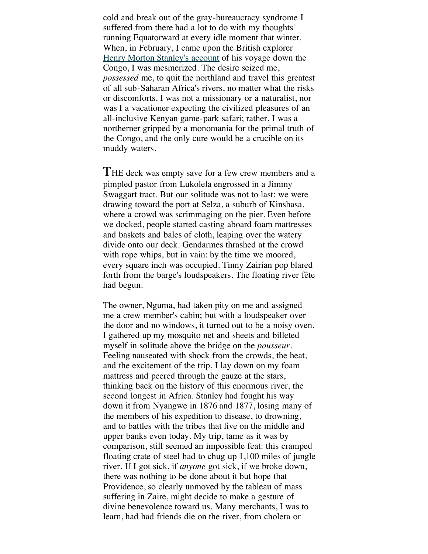cold and break out of the gray-bureaucracy syndrome I suffered from there had a lot to do with my thoughts' running Equatorward at every idle moment that winter. When, in February, I came upon the British explorer [Henry Morton Stanley's account](http://www.theatlantic.com/past/docs/issues/96sep/congo/stanley.htm) of his voyage down the Congo, I was mesmerized. The desire seized me, *possessed* me, to quit the northland and travel this greatest of all sub-Saharan Africa's rivers, no matter what the risks or discomforts. I was not a missionary or a naturalist, nor was I a vacationer expecting the civilized pleasures of an all-inclusive Kenyan game-park safari; rather, I was a northerner gripped by a monomania for the primal truth of the Congo, and the only cure would be a crucible on its muddy waters.

THE deck was empty save for a few crew members and a pimpled pastor from Lukolela engrossed in a Jimmy Swaggart tract. But our solitude was not to last: we were drawing toward the port at Selza, a suburb of Kinshasa, where a crowd was scrimmaging on the pier. Even before we docked, people started casting aboard foam mattresses and baskets and bales of cloth, leaping over the watery divide onto our deck. Gendarmes thrashed at the crowd with rope whips, but in vain: by the time we moored, every square inch was occupied. Tinny Zairian pop blared forth from the barge's loudspeakers. The floating river fête had begun.

The owner, Nguma, had taken pity on me and assigned me a crew member's cabin; but with a loudspeaker over the door and no windows, it turned out to be a noisy oven. I gathered up my mosquito net and sheets and billeted myself in solitude above the bridge on the *pousseur.* Feeling nauseated with shock from the crowds, the heat, and the excitement of the trip, I lay down on my foam mattress and peered through the gauze at the stars, thinking back on the history of this enormous river, the second longest in Africa. Stanley had fought his way down it from Nyangwe in 1876 and 1877, losing many of the members of his expedition to disease, to drowning, and to battles with the tribes that live on the middle and upper banks even today. My trip, tame as it was by comparison, still seemed an impossible feat: this cramped floating crate of steel had to chug up 1,100 miles of jungle river. If I got sick, if *anyone* got sick, if we broke down, there was nothing to be done about it but hope that Providence, so clearly unmoved by the tableau of mass suffering in Zaire, might decide to make a gesture of divine benevolence toward us. Many merchants, I was to learn, had had friends die on the river, from cholera or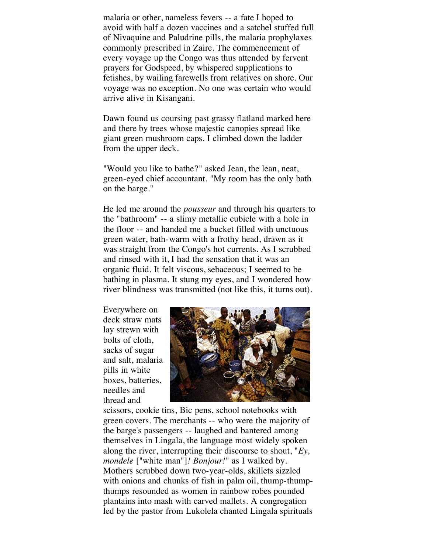malaria or other, nameless fevers -- a fate I hoped to avoid with half a dozen vaccines and a satchel stuffed full of Nivaquine and Paludrine pills, the malaria prophylaxes commonly prescribed in Zaire. The commencement of every voyage up the Congo was thus attended by fervent prayers for Godspeed, by whispered supplications to fetishes, by wailing farewells from relatives on shore. Our voyage was no exception. No one was certain who would arrive alive in Kisangani.

Dawn found us coursing past grassy flatland marked here and there by trees whose majestic canopies spread like giant green mushroom caps. I climbed down the ladder from the upper deck.

"Would you like to bathe?" asked Jean, the lean, neat, green-eyed chief accountant. "My room has the only bath on the barge."

He led me around the *pousseur* and through his quarters to the "bathroom" -- a slimy metallic cubicle with a hole in the floor -- and handed me a bucket filled with unctuous green water, bath-warm with a frothy head, drawn as it was straight from the Congo's hot currents. As I scrubbed and rinsed with it, I had the sensation that it was an organic fluid. It felt viscous, sebaceous; I seemed to be bathing in plasma. It stung my eyes, and I wondered how river blindness was transmitted (not like this, it turns out).

Everywhere on deck straw mats lay strewn with bolts of cloth, sacks of sugar and salt, malaria pills in white boxes, batteries, needles and thread and



scissors, cookie tins, Bic pens, school notebooks with green covers. The merchants -- who were the majority of the barge's passengers -- laughed and bantered among themselves in Lingala, the language most widely spoken along the river, interrupting their discourse to shout, "*Ey, mondele* ["white man"]*! Bonjour!*" as I walked by. Mothers scrubbed down two-year-olds, skillets sizzled with onions and chunks of fish in palm oil, thump-thumpthumps resounded as women in rainbow robes pounded plantains into mash with carved mallets. A congregation led by the pastor from Lukolela chanted Lingala spirituals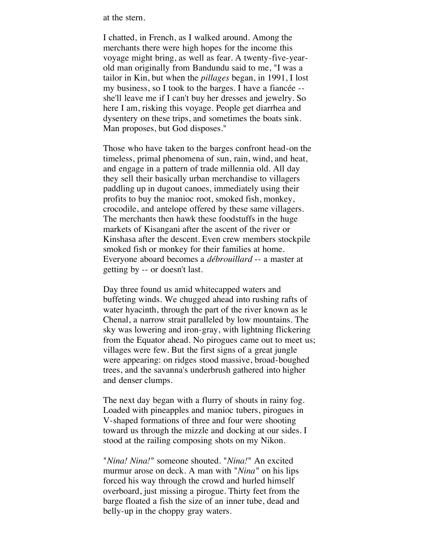at the stern.

I chatted, in French, as I walked around. Among the merchants there were high hopes for the income this voyage might bring, as well as fear. A twenty-five-yearold man originally from Bandundu said to me, "I was a tailor in Kin, but when the *pillages* began, in 1991, I lost my business, so I took to the barges. I have a fiancée - she'll leave me if I can't buy her dresses and jewelry. So here I am, risking this voyage. People get diarrhea and dysentery on these trips, and sometimes the boats sink. Man proposes, but God disposes."

Those who have taken to the barges confront head-on the timeless, primal phenomena of sun, rain, wind, and heat, and engage in a pattern of trade millennia old. All day they sell their basically urban merchandise to villagers paddling up in dugout canoes, immediately using their profits to buy the manioc root, smoked fish, monkey, crocodile, and antelope offered by these same villagers. The merchants then hawk these foodstuffs in the huge markets of Kisangani after the ascent of the river or Kinshasa after the descent. Even crew members stockpile smoked fish or monkey for their families at home. Everyone aboard becomes a *débrouillard* -- a master at getting by -- or doesn't last.

Day three found us amid whitecapped waters and buffeting winds. We chugged ahead into rushing rafts of water hyacinth, through the part of the river known as le Chenal, a narrow strait paralleled by low mountains. The sky was lowering and iron-gray, with lightning flickering from the Equator ahead. No pirogues came out to meet us; villages were few. But the first signs of a great jungle were appearing: on ridges stood massive, broad-boughed trees, and the savanna's underbrush gathered into higher and denser clumps.

The next day began with a flurry of shouts in rainy fog. Loaded with pineapples and manioc tubers, pirogues in V-shaped formations of three and four were shooting toward us through the mizzle and docking at our sides. I stood at the railing composing shots on my Nikon.

"*Nina! Nina!*" someone shouted. "*Nina!*" An excited murmur arose on deck. A man with "*Nina*" on his lips forced his way through the crowd and hurled himself overboard, just missing a pirogue. Thirty feet from the barge floated a fish the size of an inner tube, dead and belly-up in the choppy gray waters.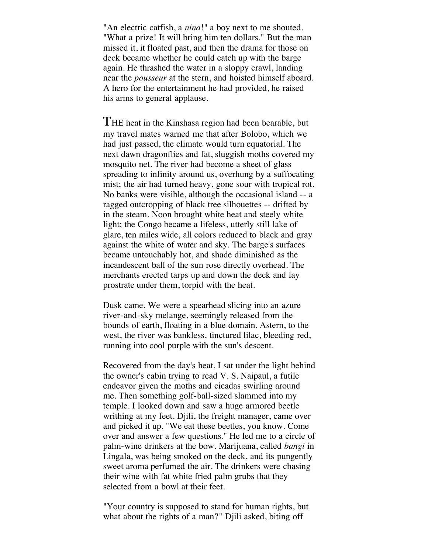"An electric catfish, a *nina*!" a boy next to me shouted. "What a prize! It will bring him ten dollars." But the man missed it, it floated past, and then the drama for those on deck became whether he could catch up with the barge again. He thrashed the water in a sloppy crawl, landing near the *pousseur* at the stern, and hoisted himself aboard. A hero for the entertainment he had provided, he raised his arms to general applause.

THE heat in the Kinshasa region had been bearable, but my travel mates warned me that after Bolobo, which we had just passed, the climate would turn equatorial. The next dawn dragonflies and fat, sluggish moths covered my mosquito net. The river had become a sheet of glass spreading to infinity around us, overhung by a suffocating mist; the air had turned heavy, gone sour with tropical rot. No banks were visible, although the occasional island -- a ragged outcropping of black tree silhouettes -- drifted by in the steam. Noon brought white heat and steely white light; the Congo became a lifeless, utterly still lake of glare, ten miles wide, all colors reduced to black and gray against the white of water and sky. The barge's surfaces became untouchably hot, and shade diminished as the incandescent ball of the sun rose directly overhead. The merchants erected tarps up and down the deck and lay prostrate under them, torpid with the heat.

Dusk came. We were a spearhead slicing into an azure river-and-sky melange, seemingly released from the bounds of earth, floating in a blue domain. Astern, to the west, the river was bankless, tinctured lilac, bleeding red, running into cool purple with the sun's descent.

Recovered from the day's heat, I sat under the light behind the owner's cabin trying to read V. S. Naipaul, a futile endeavor given the moths and cicadas swirling around me. Then something golf-ball-sized slammed into my temple. I looked down and saw a huge armored beetle writhing at my feet. Djili, the freight manager, came over and picked it up. "We eat these beetles, you know. Come over and answer a few questions." He led me to a circle of palm-wine drinkers at the bow. Marijuana, called *bangi* in Lingala, was being smoked on the deck, and its pungently sweet aroma perfumed the air. The drinkers were chasing their wine with fat white fried palm grubs that they selected from a bowl at their feet.

"Your country is supposed to stand for human rights, but what about the rights of a man?" Djili asked, biting off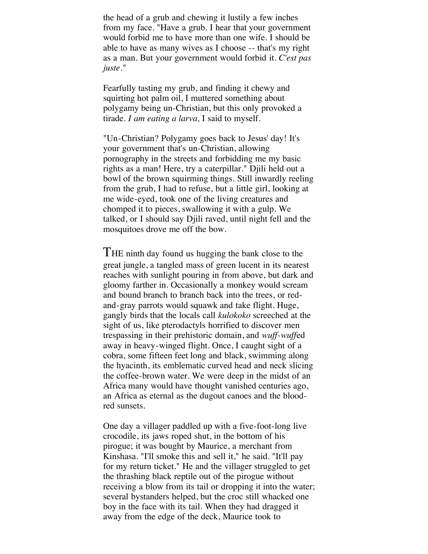the head of a grub and chewing it lustily a few inches from my face. "Have a grub. I hear that your government would forbid me to have more than one wife. I should be able to have as many wives as I choose -- that's my right as a man. But your government would forbid it. *C'est pas juste.*"

Fearfully tasting my grub, and finding it chewy and squirting hot palm oil, I muttered something about polygamy being un-Christian, but this only provoked a tirade. *I am eating a larva,* I said to myself.

"Un-Christian? Polygamy goes back to Jesus' day! It's your government that's un-Christian, allowing pornography in the streets and forbidding me my basic rights as a man! Here, try a caterpillar." Djili held out a bowl of the brown squirming things. Still inwardly reeling from the grub, I had to refuse, but a little girl, looking at me wide-eyed, took one of the living creatures and chomped it to pieces, swallowing it with a gulp. We talked, or I should say Djili raved, until night fell and the mosquitoes drove me off the bow.

THE ninth day found us hugging the bank close to the great jungle, a tangled mass of green lucent in its nearest reaches with sunlight pouring in from above, but dark and gloomy farther in. Occasionally a monkey would scream and bound branch to branch back into the trees, or redand-gray parrots would squawk and take flight. Huge, gangly birds that the locals call *kulokoko* screeched at the sight of us, like pterodactyls horrified to discover men trespassing in their prehistoric domain, and *wuff-wuff*ed away in heavy-winged flight. Once, I caught sight of a cobra, some fifteen feet long and black, swimming along the hyacinth, its emblematic curved head and neck slicing the coffee-brown water. We were deep in the midst of an Africa many would have thought vanished centuries ago, an Africa as eternal as the dugout canoes and the bloodred sunsets.

One day a villager paddled up with a five-foot-long live crocodile, its jaws roped shut, in the bottom of his pirogue; it was bought by Maurice, a merchant from Kinshasa. "I'll smoke this and sell it," he said. "It'll pay for my return ticket." He and the villager struggled to get the thrashing black reptile out of the pirogue without receiving a blow from its tail or dropping it into the water; several bystanders helped, but the croc still whacked one boy in the face with its tail. When they had dragged it away from the edge of the deck, Maurice took to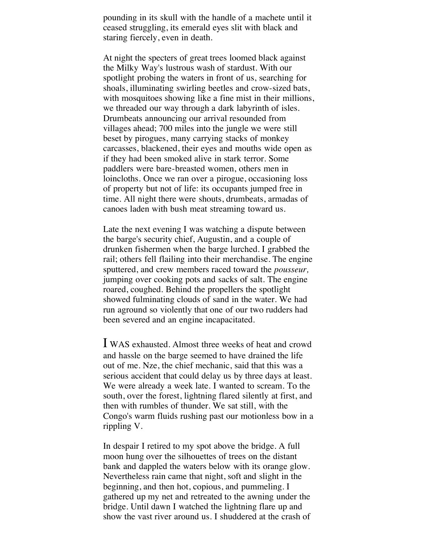pounding in its skull with the handle of a machete until it ceased struggling, its emerald eyes slit with black and staring fiercely, even in death.

At night the specters of great trees loomed black against the Milky Way's lustrous wash of stardust. With our spotlight probing the waters in front of us, searching for shoals, illuminating swirling beetles and crow-sized bats, with mosquitoes showing like a fine mist in their millions, we threaded our way through a dark labyrinth of isles. Drumbeats announcing our arrival resounded from villages ahead; 700 miles into the jungle we were still beset by pirogues, many carrying stacks of monkey carcasses, blackened, their eyes and mouths wide open as if they had been smoked alive in stark terror. Some paddlers were bare-breasted women, others men in loincloths. Once we ran over a pirogue, occasioning loss of property but not of life: its occupants jumped free in time. All night there were shouts, drumbeats, armadas of canoes laden with bush meat streaming toward us.

Late the next evening I was watching a dispute between the barge's security chief, Augustin, and a couple of drunken fishermen when the barge lurched. I grabbed the rail; others fell flailing into their merchandise. The engine sputtered, and crew members raced toward the *pousseur,* jumping over cooking pots and sacks of salt. The engine roared, coughed. Behind the propellers the spotlight showed fulminating clouds of sand in the water. We had run aground so violently that one of our two rudders had been severed and an engine incapacitated.

I WAS exhausted. Almost three weeks of heat and crowd and hassle on the barge seemed to have drained the life out of me. Nze, the chief mechanic, said that this was a serious accident that could delay us by three days at least. We were already a week late. I wanted to scream. To the south, over the forest, lightning flared silently at first, and then with rumbles of thunder. We sat still, with the Congo's warm fluids rushing past our motionless bow in a rippling V.

In despair I retired to my spot above the bridge. A full moon hung over the silhouettes of trees on the distant bank and dappled the waters below with its orange glow. Nevertheless rain came that night, soft and slight in the beginning, and then hot, copious, and pummeling. I gathered up my net and retreated to the awning under the bridge. Until dawn I watched the lightning flare up and show the vast river around us. I shuddered at the crash of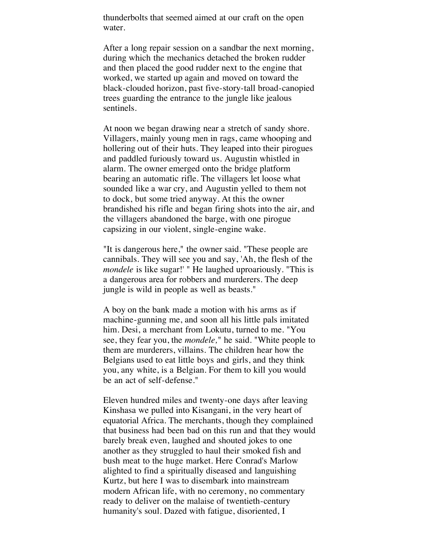thunderbolts that seemed aimed at our craft on the open water.

After a long repair session on a sandbar the next morning, during which the mechanics detached the broken rudder and then placed the good rudder next to the engine that worked, we started up again and moved on toward the black-clouded horizon, past five-story-tall broad-canopied trees guarding the entrance to the jungle like jealous sentinels.

At noon we began drawing near a stretch of sandy shore. Villagers, mainly young men in rags, came whooping and hollering out of their huts. They leaped into their pirogues and paddled furiously toward us. Augustin whistled in alarm. The owner emerged onto the bridge platform bearing an automatic rifle. The villagers let loose what sounded like a war cry, and Augustin yelled to them not to dock, but some tried anyway. At this the owner brandished his rifle and began firing shots into the air, and the villagers abandoned the barge, with one pirogue capsizing in our violent, single-engine wake.

"It is dangerous here," the owner said. "These people are cannibals. They will see you and say, 'Ah, the flesh of the *mondele* is like sugar!' " He laughed uproariously. "This is a dangerous area for robbers and murderers. The deep jungle is wild in people as well as beasts."

A boy on the bank made a motion with his arms as if machine-gunning me, and soon all his little pals imitated him. Desi, a merchant from Lokutu, turned to me. "You see, they fear you, the *mondele,*" he said. "White people to them are murderers, villains. The children hear how the Belgians used to eat little boys and girls, and they think you, any white, is a Belgian. For them to kill you would be an act of self-defense."

Eleven hundred miles and twenty-one days after leaving Kinshasa we pulled into Kisangani, in the very heart of equatorial Africa. The merchants, though they complained that business had been bad on this run and that they would barely break even, laughed and shouted jokes to one another as they struggled to haul their smoked fish and bush meat to the huge market. Here Conrad's Marlow alighted to find a spiritually diseased and languishing Kurtz, but here I was to disembark into mainstream modern African life, with no ceremony, no commentary ready to deliver on the malaise of twentieth-century humanity's soul. Dazed with fatigue, disoriented, I